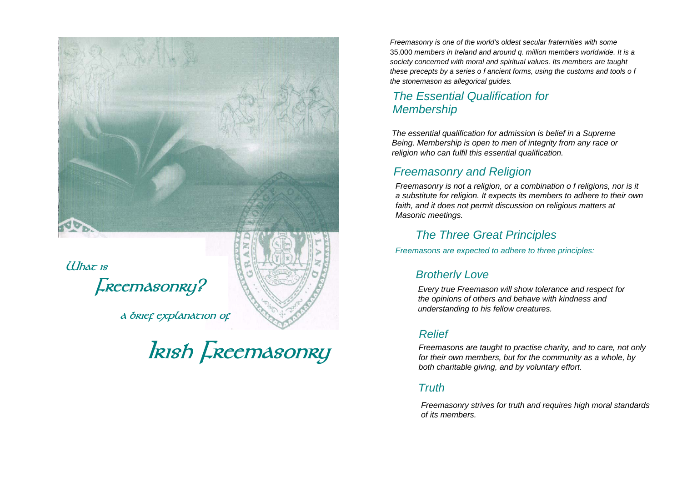

*a* **brief explanation of the standing to his fellow creatures. <b>a** brief explanation of the standing to his fellow creatures.

*Freemasonry is one of the world's oldest secular fraternities with some*  35,000 *members in Ireland and around q. million members worldwide. It is a society concerned with moral and spiritual values. Its members are taught these precepts by a series o f ancient forms, using the customs and tools o f the stonemason as allegorical guides.* 

## *The Essential Qualification for Membership*

*The essential qualification for admission is belief in a Supreme Being. Membership is open to men of integrity from any race or religion who can fulfil this essential qualification.* 

## *Freemasonry and Religion*

*Freemasonry is not a religion, or a combination o f religions, nor is it a substitute for religion. It expects its members to adhere to their own faith, and it does not permit discussion on religious matters at Masonic meetings.* 

#### *The Three Great Principles*

*Freemasons are expected to adhere to three principles:* 

#### *Relief*

**IRISH FREEMASONRY**<br>*Freemasons are taught to practise charity, and to care, not only*<br>*for their own members, but for the community as a whole, by*<br>*both charitable giving, and by voluntary effort.* 

#### *Truth*

*Freemasonry strives for truth and requires high moral standards of its members.*